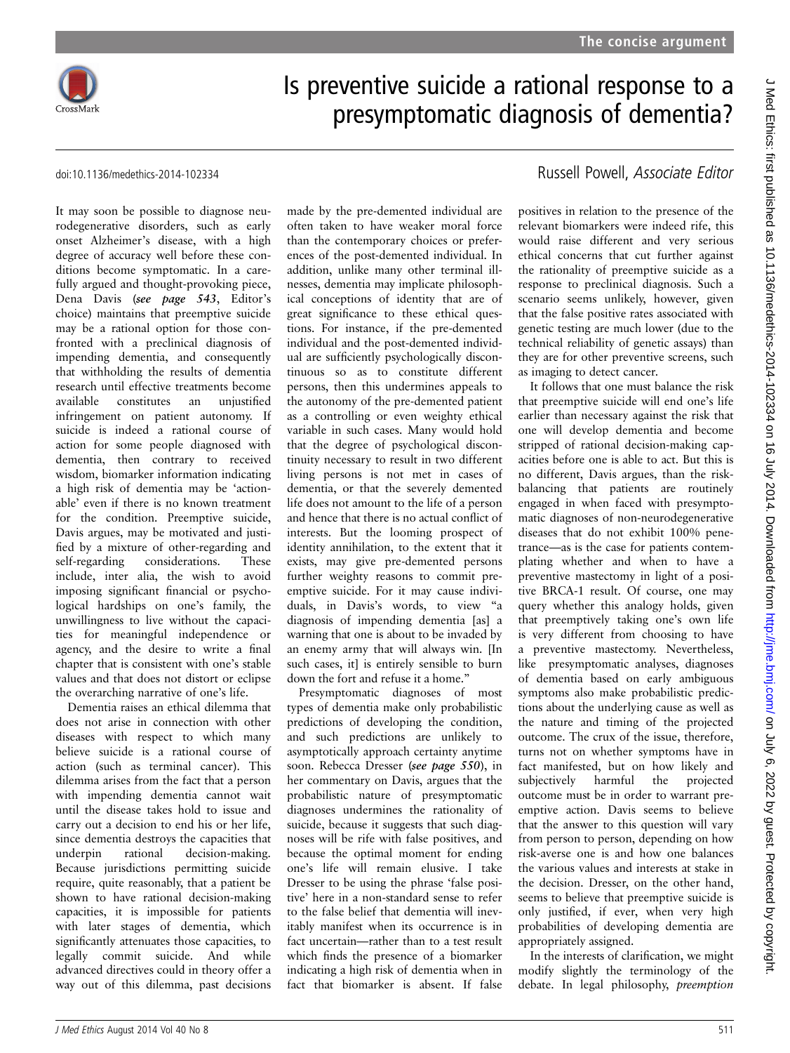

## Is preventive suicide a rational response to a presymptomatic diagnosis of dementia?

It may soon be possible to diagnose neurodegenerative disorders, such as early onset Alzheimer's disease, with a high degree of accuracy well before these conditions become symptomatic. In a carefully argued and thought-provoking piece, Dena Davis (see page 543, Editor'<sup>s</sup> choice) maintains that preemptive suicide may be a rational option for those confronted with a preclinical diagnosis of impending dementia, and consequently that withholding the results of dementia research until effective treatments become available constitutes an unjustified infringement on patient autonomy. If suicide is indeed a rational course of action for some people diagnosed with dementia, then contrary to received wisdom, biomarker information indicating a high risk of dementia may be 'actionable' even if there is no known treatment for the condition. Preemptive suicide, Davis argues, may be motivated and justified by a mixture of other-regarding and self-regarding considerations. These include, inter alia, the wish to avoid imposing significant financial or psychological hardships on one's family, the unwillingness to live without the capacities for meaningful independence or agency, and the desire to write a final chapter that is consistent with one's stable values and that does not distort or eclipse the overarching narrative of one's life.

Dementia raises an ethical dilemma that does not arise in connection with other diseases with respect to which many believe suicide is a rational course of action (such as terminal cancer). This dilemma arises from the fact that a person with impending dementia cannot wait until the disease takes hold to issue and carry out a decision to end his or her life, since dementia destroys the capacities that underpin rational decision-making. Because jurisdictions permitting suicide require, quite reasonably, that a patient be shown to have rational decision-making capacities, it is impossible for patients with later stages of dementia, which significantly attenuates those capacities, to legally commit suicide. And while advanced directives could in theory offer a way out of this dilemma, past decisions

made by the pre-demented individual are often taken to have weaker moral force than the contemporary choices or preferences of the post-demented individual. In addition, unlike many other terminal illnesses, dementia may implicate philosophical conceptions of identity that are of great significance to these ethical questions. For instance, if the pre-demented individual and the post-demented individual are sufficiently psychologically discontinuous so as to constitute different persons, then this undermines appeals to the autonomy of the pre-demented patient as a controlling or even weighty ethical variable in such cases. Many would hold that the degree of psychological discontinuity necessary to result in two different living persons is not met in cases of dementia, or that the severely demented life does not amount to the life of a person and hence that there is no actual conflict of interests. But the looming prospect of identity annihilation, to the extent that it exists, may give pre-demented persons further weighty reasons to commit preemptive suicide. For it may cause individuals, in Davis's words, to view "a diagnosis of impending dementia [as] a warning that one is about to be invaded by an enemy army that will always win. [In such cases, itl is entirely sensible to burn down the fort and refuse it a home."

Presymptomatic diagnoses of most types of dementia make only probabilistic predictions of developing the condition, and such predictions are unlikely to asymptotically approach certainty anytime soon. Rebecca Dresser (see page 550), in her commentary on Davis, argues that the probabilistic nature of presymptomatic diagnoses undermines the rationality of suicide, because it suggests that such diagnoses will be rife with false positives, and because the optimal moment for ending one's life will remain elusive. I take Dresser to be using the phrase 'false positive' here in a non-standard sense to refer to the false belief that dementia will inevitably manifest when its occurrence is in fact uncertain—rather than to a test result which finds the presence of a biomarker indicating a high risk of dementia when in fact that biomarker is absent. If false

## doi:10.1136/medethics-2014-102334 Russell Powell, Associate Editor

positives in relation to the presence of the relevant biomarkers were indeed rife, this would raise different and very serious ethical concerns that cut further against the rationality of preemptive suicide as a response to preclinical diagnosis. Such a scenario seems unlikely, however, given that the false positive rates associated with genetic testing are much lower (due to the technical reliability of genetic assays) than they are for other preventive screens, such as imaging to detect cancer.

It follows that one must balance the risk that preemptive suicide will end one's life earlier than necessary against the risk that one will develop dementia and become stripped of rational decision-making capacities before one is able to act. But this is no different, Davis argues, than the riskbalancing that patients are routinely engaged in when faced with presymptomatic diagnoses of non-neurodegenerative diseases that do not exhibit 100% penetrance—as is the case for patients contemplating whether and when to have a preventive mastectomy in light of a positive BRCA-1 result. Of course, one may query whether this analogy holds, given that preemptively taking one's own life is very different from choosing to have a preventive mastectomy. Nevertheless, like presymptomatic analyses, diagnoses of dementia based on early ambiguous symptoms also make probabilistic predictions about the underlying cause as well as the nature and timing of the projected outcome. The crux of the issue, therefore, turns not on whether symptoms have in fact manifested, but on how likely and subjectively harmful the projected outcome must be in order to warrant preemptive action. Davis seems to believe that the answer to this question will vary from person to person, depending on how risk-averse one is and how one balances the various values and interests at stake in the decision. Dresser, on the other hand, seems to believe that preemptive suicide is only justified, if ever, when very high probabilities of developing dementia are appropriately assigned.

In the interests of clarification, we might modify slightly the terminology of the debate. In legal philosophy, preemption